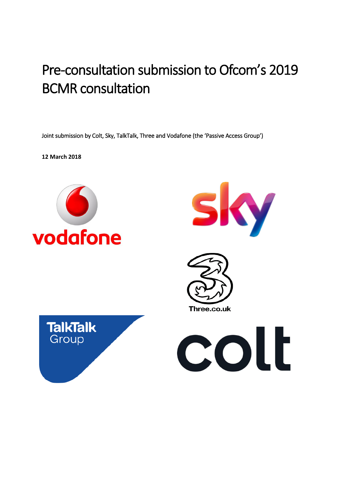# Pre-consultation submission to Ofcom's 2019 BCMR consultation

Joint submission by Colt, Sky, TalkTalk, Three and Vodafone (the 'Passive Access Group')

**12 March 2018**









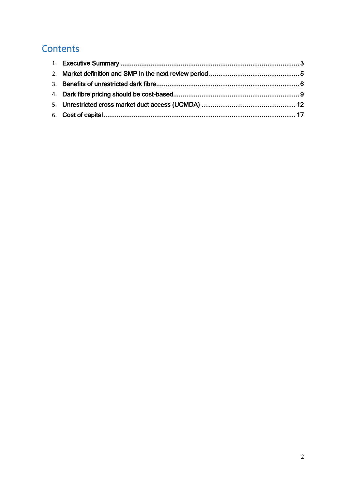# **Contents**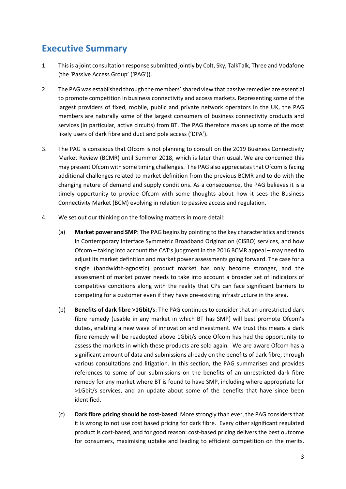# <span id="page-2-0"></span>**Executive Summary**

- 1. Thisis a joint consultation response submitted jointly by Colt, Sky, TalkTalk, Three and Vodafone (the 'Passive Access Group' ('PAG')).
- 2. The PAG was established through the members' shared view that passive remedies are essential to promote competition in business connectivity and access markets. Representing some of the largest providers of fixed, mobile, public and private network operators in the UK, the PAG members are naturally some of the largest consumers of business connectivity products and services (in particular, active circuits) from BT. The PAG therefore makes up some of the most likely users of dark fibre and duct and pole access ('DPA').
- 3. The PAG is conscious that Ofcom is not planning to consult on the 2019 Business Connectivity Market Review (BCMR) until Summer 2018, which is later than usual. We are concerned this may present Ofcom with some timing challenges. The PAG also appreciates that Ofcom is facing additional challenges related to market definition from the previous BCMR and to do with the changing nature of demand and supply conditions. As a consequence, the PAG believes it is a timely opportunity to provide Ofcom with some thoughts about how it sees the Business Connectivity Market (BCM) evolving in relation to passive access and regulation.
- 4. We set out our thinking on the following matters in more detail:
	- (a) **Market power and SMP**: The PAG begins by pointing to the key characteristics and trends in Contemporary Interface Symmetric Broadband Origination (CISBO) services, and how Ofcom – taking into account the CAT's judgment in the 2016 BCMR appeal – may need to adjust its market definition and market power assessments going forward. The case for a single (bandwidth-agnostic) product market has only become stronger, and the assessment of market power needs to take into account a broader set of indicators of competitive conditions along with the reality that CPs can face significant barriers to competing for a customer even if they have pre-existing infrastructure in the area.
	- (b) **Benefits of dark fibre >1Gbit/s**: The PAG continues to consider that an unrestricted dark fibre remedy (usable in any market in which BT has SMP) will best promote Ofcom's duties, enabling a new wave of innovation and investment. We trust this means a dark fibre remedy will be readopted above 1Gbit/s once Ofcom has had the opportunity to assess the markets in which these products are sold again. We are aware Ofcom has a significant amount of data and submissions already on the benefits of dark fibre, through various consultations and litigation. In this section, the PAG summarises and provides references to some of our submissions on the benefits of an unrestricted dark fibre remedy for any market where BT is found to have SMP, including where appropriate for >1Gbit/s services, and an update about some of the benefits that have since been identified.
	- (c) **Dark fibre pricing should be cost-based**: More strongly than ever, the PAG considers that it is wrong to not use cost based pricing for dark fibre. Every other significant regulated product is cost-based, and for good reason: cost-based pricing delivers the best outcome for consumers, maximising uptake and leading to efficient competition on the merits.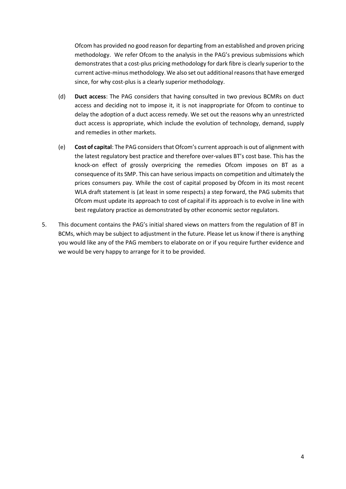Ofcom has provided no good reason for departing from an established and proven pricing methodology. We refer Ofcom to the analysis in the PAG's previous submissions which demonstrates that a cost-plus pricing methodology for dark fibre is clearly superior to the current active-minus methodology. We also set out additional reasons that have emerged since, for why cost-plus is a clearly superior methodology.

- (d) **Duct access**: The PAG considers that having consulted in two previous BCMRs on duct access and deciding not to impose it, it is not inappropriate for Ofcom to continue to delay the adoption of a duct access remedy. We set out the reasons why an unrestricted duct access is appropriate, which include the evolution of technology, demand, supply and remedies in other markets.
- (e) **Cost of capital**: The PAG considers that Ofcom's current approach is out of alignment with the latest regulatory best practice and therefore over-values BT's cost base. This has the knock-on effect of grossly overpricing the remedies Ofcom imposes on BT as a consequence of its SMP. This can have serious impacts on competition and ultimately the prices consumers pay. While the cost of capital proposed by Ofcom in its most recent WLA draft statement is (at least in some respects) a step forward, the PAG submits that Ofcom must update its approach to cost of capital if its approach is to evolve in line with best regulatory practice as demonstrated by other economic sector regulators.
- 5. This document contains the PAG's initial shared views on matters from the regulation of BT in BCMs, which may be subject to adjustment in the future. Please let us know if there is anything you would like any of the PAG members to elaborate on or if you require further evidence and we would be very happy to arrange for it to be provided.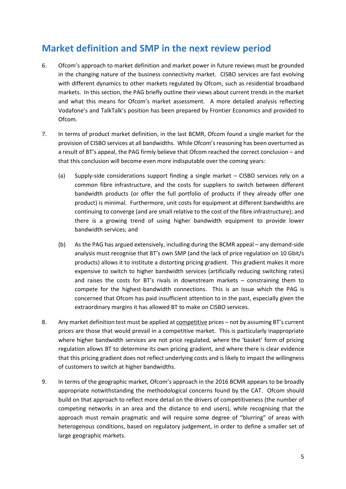# <span id="page-4-0"></span>**Market definition and SMP in the next review period**

- 6. Ofcom's approach to market definition and market power in future reviews must be grounded in the changing nature of the business connectivity market. CISBO services are fast evolving with different dynamics to other markets regulated by Ofcom, such as residential broadband markets. In this section, the PAG briefly outline their views about current trends in the market and what this means for Ofcom's market assessment. A more detailed analysis reflecting Vodafone's and TalkTalk's position has been prepared by Frontier Economics and provided to Ofcom.
- 7. In terms of product market definition, in the last BCMR, Ofcom found a single market for the provision of CISBO services at all bandwidths. While Ofcom's reasoning has been overturned as a result of BT's appeal, the PAG firmly believe that Ofcom reached the correct conclusion – and that this conclusion will become even more indisputable over the coming years:
	- (a) Supply-side considerations support finding a single market CISBO services rely on a common fibre infrastructure, and the costs for suppliers to switch between different bandwidth products (or offer the full portfolio of products if they already offer one product) is minimal. Furthermore, unit costs for equipment at different bandwidths are continuing to converge (and are small relative to the cost of the fibre infrastructure); and there is a growing trend of using higher bandwidth equipment to provide lower bandwidth services; and
	- (b) As the PAG has argued extensively, including during the BCMR appeal any demand-side analysis must recognise that BT's own SMP (and the lack of price regulation on 10 Gbit/s products) allows it to institute a distorting pricing gradient. This gradient makes it more expensive to switch to higher bandwidth services (artificially reducing switching rates) and raises the costs for BT's rivals in downstream markets – constraining them to compete for the highest-bandwidth connections. This is an issue which the PAG is concerned that Ofcom has paid insufficient attention to in the past, especially given the extraordinary margins it has allowed BT to make on CISBO services.
- 8. Any market definition test must be applied at competitive prices not by assuming BT's current prices are those that would prevail in a competitive market. This is particularly inappropriate where higher bandwidth services are not price regulated, where the 'basket' form of pricing regulation allows BT to determine its own pricing gradient, and where there is clear evidence that this pricing gradient does not reflect underlying costs and is likely to impact the willingness of customers to switch at higher bandwidths.
- 9. In terms of the geographic market, Ofcom's approach in the 2016 BCMR appears to be broadly appropriate notwithstanding the methodological concerns found by the CAT. Ofcom should build on that approach to reflect more detail on the drivers of competitiveness (the number of competing networks in an area and the distance to end users), while recognising that the approach must remain pragmatic and will require some degree of "blurring" of areas with heterogenous conditions, based on regulatory judgement, in order to define a smaller set of large geographic markets.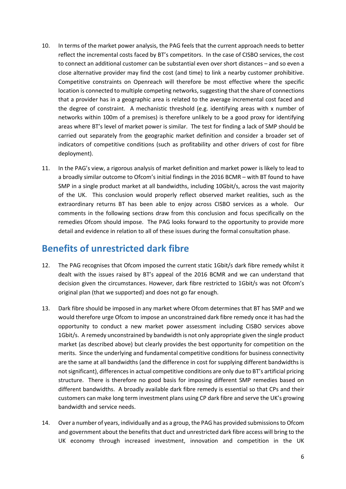- 10. In terms of the market power analysis, the PAG feels that the current approach needs to better reflect the incremental costs faced by BT's competitors. In the case of CISBO services, the cost to connect an additional customer can be substantial even over short distances – and so even a close alternative provider may find the cost (and time) to link a nearby customer prohibitive. Competitive constraints on Openreach will therefore be most effective where the specific location is connected to multiple competing networks, suggesting that the share of connections that a provider has in a geographic area is related to the average incremental cost faced and the degree of constraint. A mechanistic threshold (e.g. identifying areas with x number of networks within 100m of a premises) is therefore unlikely to be a good proxy for identifying areas where BT's level of market power is similar. The test for finding a lack of SMP should be carried out separately from the geographic market definition and consider a broader set of indicators of competitive conditions (such as profitability and other drivers of cost for fibre deployment).
- 11. In the PAG's view, a rigorous analysis of market definition and market power is likely to lead to a broadly similar outcome to Ofcom's initial findings in the 2016 BCMR – with BT found to have SMP in a single product market at all bandwidths, including 10Gbit/s, across the vast majority of the UK. This conclusion would properly reflect observed market realities, such as the extraordinary returns BT has been able to enjoy across CISBO services as a whole. Our comments in the following sections draw from this conclusion and focus specifically on the remedies Ofcom should impose. The PAG looks forward to the opportunity to provide more detail and evidence in relation to all of these issues during the formal consultation phase.

# <span id="page-5-0"></span>**Benefits of unrestricted dark fibre**

- 12. The PAG recognises that Ofcom imposed the current static 1Gbit/s dark fibre remedy whilst it dealt with the issues raised by BT's appeal of the 2016 BCMR and we can understand that decision given the circumstances. However, dark fibre restricted to 1Gbit/s was not Ofcom's original plan (that we supported) and does not go far enough.
- 13. Dark fibre should be imposed in any market where Ofcom determines that BT has SMP and we would therefore urge Ofcom to impose an unconstrained dark fibre remedy once it has had the opportunity to conduct a new market power assessment including CISBO services above 1Gbit/s. A remedy unconstrained by bandwidth is not only appropriate given the single product market (as described above) but clearly provides the best opportunity for competition on the merits. Since the underlying and fundamental competitive conditions for business connectivity are the same at all bandwidths (and the difference in cost for supplying different bandwidths is not significant), differences in actual competitive conditions are only due to BT's artificial pricing structure. There is therefore no good basis for imposing different SMP remedies based on different bandwidths. A broadly available dark fibre remedy is essential so that CPs and their customers can make long term investment plans using CP dark fibre and serve the UK's growing bandwidth and service needs.
- 14. Over a number of years, individually and as a group, the PAG has provided submissions to Ofcom and government about the benefits that duct and unrestricted dark fibre access will bring to the UK economy through increased investment, innovation and competition in the UK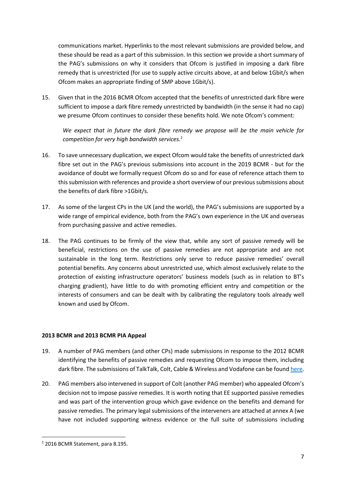communications market. Hyperlinks to the most relevant submissions are provided below, and these should be read as a part of this submission. In this section we provide a short summary of the PAG's submissions on why it considers that Ofcom is justified in imposing a dark fibre remedy that is unrestricted (for use to supply active circuits above, at and below 1Gbit/s when Ofcom makes an appropriate finding of SMP above 1Gbit/s).

15. Given that in the 2016 BCMR Ofcom accepted that the benefits of unrestricted dark fibre were sufficient to impose a dark fibre remedy unrestricted by bandwidth (in the sense it had no cap) we presume Ofcom continues to consider these benefits hold. We note Ofcom's comment:

*We expect that in future the dark fibre remedy we propose will be the main vehicle for competition for very high bandwidth services.<sup>1</sup>*

- 16. To save unnecessary duplication, we expect Ofcom would take the benefits of unrestricted dark fibre set out in the PAG's previous submissions into account in the 2019 BCMR - but for the avoidance of doubt we formally request Ofcom do so and for ease of reference attach them to this submission with references and provide a short overview of our previous submissions about the benefits of dark fibre >1Gbit/s.
- 17. As some of the largest CPs in the UK (and the world), the PAG's submissions are supported by a wide range of empirical evidence, both from the PAG's own experience in the UK and overseas from purchasing passive and active remedies.
- 18. The PAG continues to be firmly of the view that, while any sort of passive remedy will be beneficial, restrictions on the use of passive remedies are not appropriate and are not sustainable in the long term. Restrictions only serve to reduce passive remedies' overall potential benefits. Any concerns about unrestricted use, which almost exclusively relate to the protection of existing infrastructure operators' business models (such as in relation to BT's charging gradient), have little to do with promoting efficient entry and competition or the interests of consumers and can be dealt with by calibrating the regulatory tools already well known and used by Ofcom.

#### **2013 BCMR and 2013 BCMR PIA Appeal**

- 19. A number of PAG members (and other CPs) made submissions in response to the 2012 BCMR identifying the benefits of passive remedies and requesting Ofcom to impose them, including dark fibre. The submissions of TalkTalk, Colt, Cable & Wireless and Vodafone can be found [here.](https://www.ofcom.org.uk/consultations-and-statements/category-2/business-connectivity-mr)
- 20. PAG members also intervened in support of Colt (another PAG member) who appealed Ofcom's decision not to impose passive remedies. It is worth noting that EE supported passive remedies and was part of the intervention group which gave evidence on the benefits and demand for passive remedies. The primary legal submissions of the interveners are attached at annex A (we have not included supporting witness evidence or the full suite of submissions including

**.** 

<sup>1</sup> 2016 BCMR Statement, para 8.195.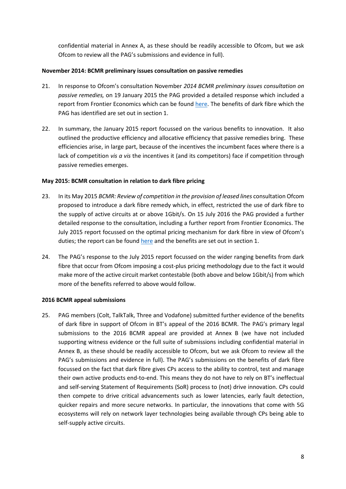confidential material in Annex A, as these should be readily accessible to Ofcom, but we ask Ofcom to review all the PAG's submissions and evidence in full).

#### **November 2014: BCMR preliminary issues consultation on passive remedies**

- 21. In response to Ofcom's consultation November *2014 BCMR preliminary issues consultation on passive remedies,* on 19 January 2015 the PAG provided a detailed response which included a report from Frontier Economics which can be found [here.](https://www.ofcom.org.uk/__data/assets/pdf_file/0026/51578/pag_annex_b.pdf) The benefits of dark fibre which the PAG has identified are set out in section 1.
- 22. In summary, the January 2015 report focussed on the various benefits to innovation. It also outlined the productive efficiency and allocative efficiency that passive remedies bring. These efficiencies arise, in large part, because of the incentives the incumbent faces where there is a lack of competition *vis a vis* the incentives it (and its competitors) face if competition through passive remedies emerges.

#### **May 2015: BCMR consultation in relation to dark fibre pricing**

- 23. In its May 2015 *BCMR: Review of competition in the provision of leased lines* consultation Ofcom proposed to introduce a dark fibre remedy which, in effect, restricted the use of dark fibre to the supply of active circuits at or above 1Gbit/s. On 15 July 2016 the PAG provided a further detailed response to the consultation, including a further report from Frontier Economics. The July 2015 report focussed on the optimal pricing mechanism for dark fibre in view of Ofcom's duties; the report can be foun[d here](https://www.ofcom.org.uk/__data/assets/pdf_file/0026/84815/passive_access_group_annex_frontier_economics_report_on_regulated_dark_fibre_pricing.pdf) and the benefits are set out in section 1.
- 24. The PAG's response to the July 2015 report focussed on the wider ranging benefits from dark fibre that occur from Ofcom imposing a cost-plus pricing methodology due to the fact it would make more of the active circuit market contestable (both above and below 1Gbit/s) from which more of the benefits referred to above would follow.

#### **2016 BCMR appeal submissions**

25. PAG members (Colt, TalkTalk, Three and Vodafone) submitted further evidence of the benefits of dark fibre in support of Ofcom in BT's appeal of the 2016 BCMR. The PAG's primary legal submissions to the 2016 BCMR appeal are provided at Annex B (we have not included supporting witness evidence or the full suite of submissions including confidential material in Annex B, as these should be readily accessible to Ofcom, but we ask Ofcom to review all the PAG's submissions and evidence in full). The PAG's submissions on the benefits of dark fibre focussed on the fact that dark fibre gives CPs access to the ability to control, test and manage their own active products end-to-end. This means they do not have to rely on BT's ineffectual and self-serving Statement of Requirements (SoR) process to (not) drive innovation. CPs could then compete to drive critical advancements such as lower latencies, early fault detection, quicker repairs and more secure networks. In particular, the innovations that come with 5G ecosystems will rely on network layer technologies being available through CPs being able to self-supply active circuits.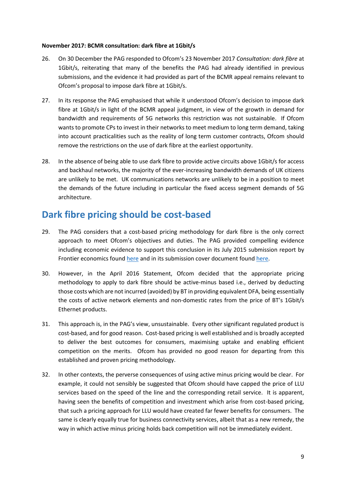#### **November 2017: BCMR consultation: dark fibre at 1Gbit/s**

- 26. On 30 December the PAG responded to Ofcom's 23 November 2017 *Consultation: dark fibre* at 1Gbit/s, reiterating that many of the benefits the PAG had already identified in previous submissions, and the evidence it had provided as part of the BCMR appeal remains relevant to Ofcom's proposal to impose dark fibre at 1Gbit/s.
- 27. In its response the PAG emphasised that while it understood Ofcom's decision to impose dark fibre at 1Gbit/s in light of the BCMR appeal judgment, in view of the growth in demand for bandwidth and requirements of 5G networks this restriction was not sustainable. If Ofcom wants to promote CPs to invest in their networks to meet medium to long term demand, taking into account practicalities such as the reality of long term customer contracts, Ofcom should remove the restrictions on the use of dark fibre at the earliest opportunity.
- 28. In the absence of being able to use dark fibre to provide active circuits above 1Gbit/s for access and backhaul networks, the majority of the ever-increasing bandwidth demands of UK citizens are unlikely to be met. UK communications networks are unlikely to be in a position to meet the demands of the future including in particular the fixed access segment demands of 5G architecture.

### <span id="page-8-0"></span>**Dark fibre pricing should be cost-based**

- 29. The PAG considers that a cost-based pricing methodology for dark fibre is the only correct approach to meet Ofcom's objectives and duties. The PAG provided compelling evidence including economic evidence to support this conclusion in its July 2015 submission report by Frontier economics found [here](https://www.ofcom.org.uk/__data/assets/pdf_file/0026/84815/passive_access_group_annex_frontier_economics_report_on_regulated_dark_fibre_pricing.pdf) and in its submission cover document found [here.](https://www.ofcom.org.uk/__data/assets/pdf_file/0024/53547/passive_access_group.pdf)
- 30. However, in the April 2016 Statement, Ofcom decided that the appropriate pricing methodology to apply to dark fibre should be active-minus based i.e., derived by deducting those costs which are notincurred (avoided) by BT in providing equivalent DFA, being essentially the costs of active network elements and non-domestic rates from the price of BT's 1Gbit/s Ethernet products.
- 31. This approach is, in the PAG's view, unsustainable. Every other significant regulated product is cost-based, and for good reason. Cost-based pricing is well established and is broadly accepted to deliver the best outcomes for consumers, maximising uptake and enabling efficient competition on the merits. Ofcom has provided no good reason for departing from this established and proven pricing methodology.
- 32. In other contexts, the perverse consequences of using active minus pricing would be clear. For example, it could not sensibly be suggested that Ofcom should have capped the price of LLU services based on the speed of the line and the corresponding retail service. It is apparent, having seen the benefits of competition and investment which arise from cost-based pricing, that such a pricing approach for LLU would have created far fewer benefits for consumers. The same is clearly equally true for business connectivity services, albeit that as a new remedy, the way in which active minus pricing holds back competition will not be immediately evident.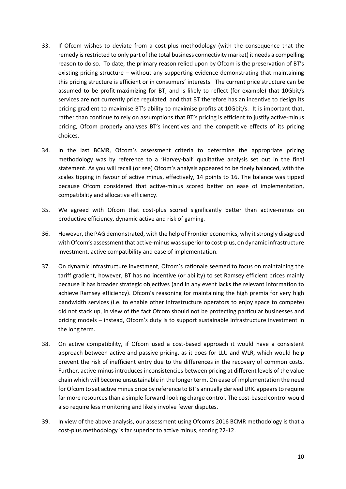- 33. If Ofcom wishes to deviate from a cost-plus methodology (with the consequence that the remedy is restricted to only part of the total business connectivity market) it needs a compelling reason to do so. To date, the primary reason relied upon by Ofcom is the preservation of BT's existing pricing structure – without any supporting evidence demonstrating that maintaining this pricing structure is efficient or in consumers' interests. The current price structure can be assumed to be profit-maximizing for BT, and is likely to reflect (for example) that 10Gbit/s services are not currently price regulated, and that BT therefore has an incentive to design its pricing gradient to maximise BT's ability to maximise profits at 10Gbit/s. It is important that, rather than continue to rely on assumptions that BT's pricing is efficient to justify active-minus pricing, Ofcom properly analyses BT's incentives and the competitive effects of its pricing choices.
- 34. In the last BCMR, Ofcom's assessment criteria to determine the appropriate pricing methodology was by reference to a 'Harvey-ball' qualitative analysis set out in the final statement. As you will recall (or see) Ofcom's analysis appeared to be finely balanced, with the scales tipping in favour of active minus, effectively, 14 points to 16. The balance was tipped because Ofcom considered that active-minus scored better on ease of implementation, compatibility and allocative efficiency.
- 35. We agreed with Ofcom that cost-plus scored significantly better than active-minus on productive efficiency, dynamic active and risk of gaming.
- 36. However, the PAG demonstrated, with the help of Frontier economics, why it strongly disagreed with Ofcom's assessment that active-minus was superior to cost-plus, on dynamic infrastructure investment, active compatibility and ease of implementation.
- 37. On dynamic infrastructure investment, Ofcom's rationale seemed to focus on maintaining the tariff gradient, however, BT has no incentive (or ability) to set Ramsey efficient prices mainly because it has broader strategic objectives (and in any event lacks the relevant information to achieve Ramsey efficiency). Ofcom's reasoning for maintaining the high premia for very high bandwidth services (i.e. to enable other infrastructure operators to enjoy space to compete) did not stack up, in view of the fact Ofcom should not be protecting particular businesses and pricing models – instead, Ofcom's duty is to support sustainable infrastructure investment in the long term.
- 38. On active compatibility, if Ofcom used a cost-based approach it would have a consistent approach between active and passive pricing, as it does for LLU and WLR, which would help prevent the risk of inefficient entry due to the differences in the recovery of common costs. Further, active-minus introduces inconsistencies between pricing at different levels of the value chain which will become unsustainable in the longer term. On ease of implementation the need for Ofcom to set active minus price by reference to BT's annually derived LRIC appears to require far more resources than a simple forward-looking charge control. The cost-based control would also require less monitoring and likely involve fewer disputes.
- 39. In view of the above analysis, our assessment using Ofcom's 2016 BCMR methodology is that a cost-plus methodology is far superior to active minus, scoring 22-12.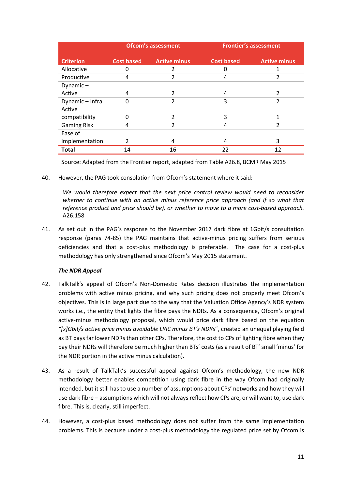|                    | <b>Ofcom's assessment</b> |                          | <b>Frontier's assessment</b> |                     |
|--------------------|---------------------------|--------------------------|------------------------------|---------------------|
| <b>Criterion</b>   | <b>Cost based</b>         | <b>Active minus</b>      | <b>Cost based</b>            | <b>Active minus</b> |
| Allocative         | n                         | 2                        | Ω                            | 1                   |
| Productive         | 4                         | 2                        | 4                            | 2                   |
| Dynamic $-$        |                           |                          |                              |                     |
| Active             | 4                         | $\mathcal{P}$            | 4                            | $\mathcal{P}$       |
| Dynamic - Infra    |                           | 2                        | 3                            |                     |
| Active             |                           |                          |                              |                     |
| compatibility      | 0                         | 2                        | 3                            | 1                   |
| <b>Gaming Risk</b> | 4                         | $\overline{\mathcal{L}}$ | 4                            | $\mathfrak{p}$      |
| Ease of            |                           |                          |                              |                     |
| implementation     | $\mathcal{P}$             | 4                        | 4                            | 3                   |
| <b>Total</b>       | 14                        | 16                       | 22                           | 12                  |

Source: Adapted from the Frontier report, adapted from Table A26.8, BCMR May 2015

40. However, the PAG took consolation from Ofcom's statement where it said:

We would therefore expect that the next price control review would need to reconsider *whether to continue with an active minus reference price approach (and if so what that reference product and price should be), or whether to move to a more cost-based approach.* A26.158

41. As set out in the PAG's response to the November 2017 dark fibre at 1Gbit/s consultation response (paras 74-85) the PAG maintains that active-minus pricing suffers from serious deficiencies and that a cost-plus methodology is preferable. The case for a cost-plus methodology has only strengthened since Ofcom's May 2015 statement.

#### *The NDR Appeal*

- 42. TalkTalk's appeal of Ofcom's Non-Domestic Rates decision illustrates the implementation problems with active minus pricing, and why such pricing does not properly meet Ofcom's objectives. This is in large part due to the way that the Valuation Office Agency's NDR system works i.e., the entity that lights the fibre pays the NDRs. As a consequence, Ofcom's original active-minus methodology proposal, which would price dark fibre based on the equation *"[x]Gbit/s active price minus avoidable LRIC minus BT's NDRs*", created an unequal playing field as BT pays far lower NDRs than other CPs. Therefore, the cost to CPs of lighting fibre when they pay their NDRs will therefore be much higher than BTs' costs (as a result of BT' small 'minus' for the NDR portion in the active minus calculation).
- 43. As a result of TalkTalk's successful appeal against Ofcom's methodology, the new NDR methodology better enables competition using dark fibre in the way Ofcom had originally intended, but it still has to use a number of assumptions about CPs' networks and how they will use dark fibre – assumptions which will not always reflect how CPs are, or will want to, use dark fibre. This is, clearly, still imperfect.
- 44. However, a cost-plus based methodology does not suffer from the same implementation problems. This is because under a cost-plus methodology the regulated price set by Ofcom is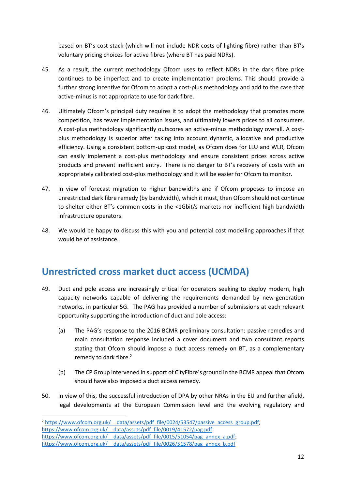based on BT's cost stack (which will not include NDR costs of lighting fibre) rather than BT's voluntary pricing choices for active fibres (where BT has paid NDRs).

- 45. As a result, the current methodology Ofcom uses to reflect NDRs in the dark fibre price continues to be imperfect and to create implementation problems. This should provide a further strong incentive for Ofcom to adopt a cost-plus methodology and add to the case that active-minus is not appropriate to use for dark fibre.
- 46. Ultimately Ofcom's principal duty requires it to adopt the methodology that promotes more competition, has fewer implementation issues, and ultimately lowers prices to all consumers. A cost-plus methodology significantly outscores an active-minus methodology overall. A costplus methodology is superior after taking into account dynamic, allocative and productive efficiency. Using a consistent bottom-up cost model, as Ofcom does for LLU and WLR, Ofcom can easily implement a cost-plus methodology and ensure consistent prices across active products and prevent inefficient entry. There is no danger to BT's recovery of costs with an appropriately calibrated cost-plus methodology and it will be easier for Ofcom to monitor.
- 47. In view of forecast migration to higher bandwidths and if Ofcom proposes to impose an unrestricted dark fibre remedy (by bandwidth), which it must, then Ofcom should not continue to shelter either BT's common costs in the <1Gbit/s markets nor inefficient high bandwidth infrastructure operators.
- 48. We would be happy to discuss this with you and potential cost modelling approaches if that would be of assistance.

# <span id="page-11-0"></span>**Unrestricted cross market duct access (UCMDA)**

- 49. Duct and pole access are increasingly critical for operators seeking to deploy modern, high capacity networks capable of delivering the requirements demanded by new-generation networks, in particular 5G. The PAG has provided a number of submissions at each relevant opportunity supporting the introduction of duct and pole access:
	- (a) The PAG's response to the 2016 BCMR preliminary consultation: passive remedies and main consultation response included a cover document and two consultant reports stating that Ofcom should impose a duct access remedy on BT, as a complementary remedy to dark fibre. 2
	- (b) The CP Group intervened in support of CityFibre's ground in the BCMR appeal that Ofcom should have also imposed a duct access remedy.
- 50. In view of this, the successful introduction of DPA by other NRAs in the EU and further afield, legal developments at the European Commission level and the evolving regulatory and

1

<sup>&</sup>lt;sup>2</sup> https://www.ofcom.org.uk/ data/assets/pdf\_file/0024/53547/passive\_access\_group.pdf; https://www.ofcom.org.uk/ data/assets/pdf\_file/0019/41572/pag.pdf https://www.ofcom.org.uk/ data/assets/pdf file/0015/51054/pag\_annex\_a.pdf; https://www.ofcom.org.uk/ data/assets/pdf file/0026/51578/pag\_annex\_b.pdf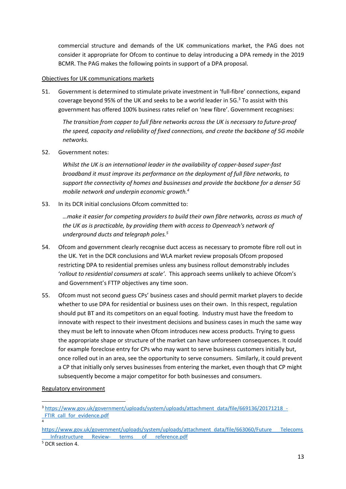commercial structure and demands of the UK communications market, the PAG does not consider it appropriate for Ofcom to continue to delay introducing a DPA remedy in the 2019 BCMR. The PAG makes the following points in support of a DPA proposal.

#### Objectives for UK communications markets

51. Government is determined to stimulate private investment in 'full-fibre' connections, expand coverage beyond 95% of the UK and seeks to be a world leader in 5G. <sup>3</sup> To assist with this government has offered 100% business rates relief on 'new fibre'. Government recognises:

*The transition from copper to full fibre networks across the UK is necessary to future-proof the speed, capacity and reliability of fixed connections, and create the backbone of 5G mobile networks.*

52. Government notes:

*Whilst the UK is an international leader in the availability of copper-based super-fast broadband it must improve its performance on the deployment of full fibre networks, to support the connectivity of homes and businesses and provide the backbone for a denser 5G mobile network and underpin economic growth.<sup>4</sup>*

53. In its DCR initial conclusions Ofcom committed to:

*…make it easier for competing providers to build their own fibre networks, across as much of the UK as is practicable, by providing them with access to Openreach's network of underground ducts and telegraph poles.<sup>5</sup>*

- 54. Ofcom and government clearly recognise duct access as necessary to promote fibre roll out in the UK. Yet in the DCR conclusions and WLA market review proposals Ofcom proposed restricting DPA to residential premises unless any business rollout demonstrably includes '*rollout to residential consumers at scale'*. This approach seems unlikely to achieve Ofcom's and Government's FTTP objectives any time soon.
- 55. Ofcom must not second guess CPs' business cases and should permit market players to decide whether to use DPA for residential or business uses on their own. In this respect, regulation should put BT and its competitors on an equal footing. Industry must have the freedom to innovate with respect to their investment decisions and business cases in much the same way they must be left to innovate when Ofcom introduces new access products. Trying to guess the appropriate shape or structure of the market can have unforeseen consequences. It could for example foreclose entry for CPs who may want to serve business customers initially but, once rolled out in an area, see the opportunity to serve consumers. Similarly, it could prevent a CP that initially only serves businesses from entering the market, even though that CP might subsequently become a major competitor for both businesses and consumers.

Regulatory environment

**.** 

4

<sup>3</sup> [https://www.gov.uk/government/uploads/system/uploads/attachment\\_data/file/669136/20171218\\_-](https://www.gov.uk/government/uploads/system/uploads/attachment_data/file/669136/20171218_-_FTIR_call_for_evidence.pdf) FTIR call for evidence.pdf

[https://www.gov.uk/government/uploads/system/uploads/attachment\\_data/file/663060/Future\\_\\_\\_Telecoms](https://www.gov.uk/government/uploads/system/uploads/attachment_data/file/663060/Future___Telecoms___Infrastructure___Review-___terms___of___reference.pdf) Infrastructure Review- terms of reference.pdf

<sup>5</sup> DCR section 4.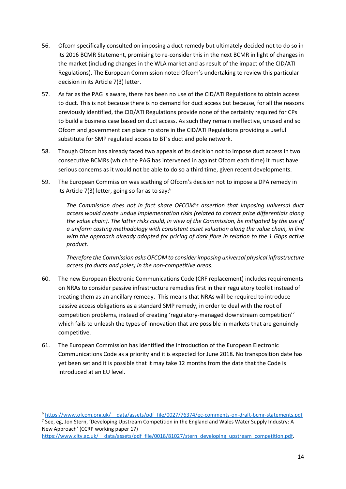- 56. Ofcom specifically consulted on imposing a duct remedy but ultimately decided not to do so in its 2016 BCMR Statement, promising to re-consider this in the next BCMR in light of changes in the market (including changes in the WLA market and as result of the impact of the CID/ATI Regulations). The European Commission noted Ofcom's undertaking to review this particular decision in its Article 7(3) letter.
- 57. As far as the PAG is aware, there has been no use of the CID/ATI Regulations to obtain access to duct. This is not because there is no demand for duct access but because, for all the reasons previously identified, the CID/ATI Regulations provide none of the certainty required for CPs to build a business case based on duct access. As such they remain ineffective, unused and so Ofcom and government can place no store in the CID/ATI Regulations providing a useful substitute for SMP regulated access to BT's duct and pole network.
- 58. Though Ofcom has already faced two appeals of its decision not to impose duct access in two consecutive BCMRs (which the PAG has intervened in against Ofcom each time) it must have serious concerns as it would not be able to do so a third time, given recent developments.
- 59. The European Commission was scathing of Ofcom's decision not to impose a DPA remedy in its Article 7(3) letter, going so far as to say:<sup>6</sup>

*The Commission does not in fact share OFCOM's assertion that imposing universal duct access would create undue implementation risks (related to correct price differentials along the value chain). The latter risks could, in view of the Commission, be mitigated by the use of a uniform costing methodology with consistent asset valuation along the value chain, in line with the approach already adopted for pricing of dark fibre in relation to the 1 Gbps active product.* 

*Therefore the Commission asks OFCOM to consider imposing universal physical infrastructure access (to ducts and poles) in the non-competitive areas.*

- 60. The new European Electronic Communications Code (CRF replacement) includes requirements on NRAs to consider passive infrastructure remedies first in their regulatory toolkit instead of treating them as an ancillary remedy. This means that NRAs will be required to introduce passive access obligations as a standard SMP remedy, in order to deal with the root of competition problems, instead of creating 'regulatory-managed downstream competition'<sup>7</sup> which fails to unleash the types of innovation that are possible in markets that are genuinely competitive.
- 61. The European Commission has identified the introduction of the European Electronic Communications Code as a priority and it is expected for June 2018. No transposition date has yet been set and it is possible that it may take 12 months from the date that the Code is introduced at an EU level.

<sup>7</sup> See, eg, Jon Stern, 'Developing Upstream Competition in the England and Wales Water Supply Industry: A New Approach' (CCRP working paper 17)

 $\overline{\phantom{a}}$ 

<sup>6</sup> [https://www.ofcom.org.uk/\\_\\_data/assets/pdf\\_file/0027/76374/ec-comments-on-draft-bcmr-statements.pdf](https://www.ofcom.org.uk/__data/assets/pdf_file/0027/76374/ec-comments-on-draft-bcmr-statements.pdf)

https://www.city.ac.uk/ data/assets/pdf file/0018/81027/stern\_developing\_upstream\_competition.pdf.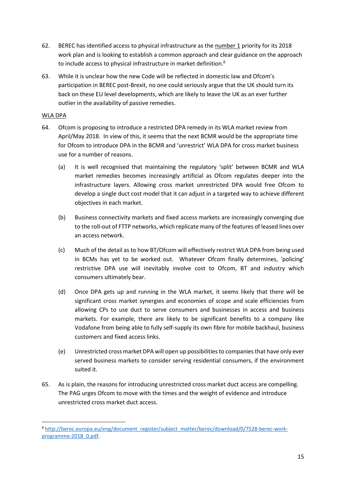- 62. BEREC has identified access to physical infrastructure as the number 1 priority for its 2018 work plan and is looking to establish a common approach and clear guidance on the approach to include access to physical infrastructure in market definition.<sup>8</sup>
- 63. While it is unclear how the new Code will be reflected in domestic law and Ofcom's participation in BEREC post-Brexit, no one could seriously argue that the UK should turn its back on these EU level developments, which are likely to leave the UK as an ever further outlier in the availability of passive remedies.

#### WLA DPA

 $\overline{\phantom{a}}$ 

- 64. Ofcom is proposing to introduce a restricted DPA remedy in its WLA market review from April/May 2018. In view of this, it seems that the next BCMR would be the appropriate time for Ofcom to introduce DPA in the BCMR and 'unrestrict' WLA DPA for cross market business use for a number of reasons.
	- (a) It is well recognised that maintaining the regulatory 'split' between BCMR and WLA market remedies becomes increasingly artificial as Ofcom regulates deeper into the infrastructure layers. Allowing cross market unrestricted DPA would free Ofcom to develop a single duct cost model that it can adjust in a targeted way to achieve different objectives in each market.
	- (b) Business connectivity markets and fixed access markets are increasingly converging due to the roll-out of FTTP networks, which replicate many of the features of leased lines over an access network.
	- (c) Much of the detail as to how BT/Ofcom will effectively restrict WLA DPA from being used in BCMs has yet to be worked out. Whatever Ofcom finally determines, 'policing' restrictive DPA use will inevitably involve cost to Ofcom, BT and industry which consumers ultimately bear.
	- (d) Once DPA gets up and running in the WLA market, it seems likely that there will be significant cross market synergies and economies of scope and scale efficiencies from allowing CPs to use duct to serve consumers and businesses in access and business markets. For example, there are likely to be significant benefits to a company like Vodafone from being able to fully self-supply its own fibre for mobile backhaul, business customers and fixed access links.
	- (e) Unrestricted cross market DPA will open up possibilities to companies that have only ever served business markets to consider serving residential consumers, if the environment suited it.
- 65. As is plain, the reasons for introducing unrestricted cross market duct access are compelling. The PAG urges Ofcom to move with the times and the weight of evidence and introduce unrestricted cross market duct access.

<sup>8</sup> [http://berec.europa.eu/eng/document\\_register/subject\\_matter/berec/download/0/7528-berec-work](http://berec.europa.eu/eng/document_register/subject_matter/berec/download/0/7528-berec-work-programme-2018_0.pdf)[programme-2018\\_0.pdf.](http://berec.europa.eu/eng/document_register/subject_matter/berec/download/0/7528-berec-work-programme-2018_0.pdf)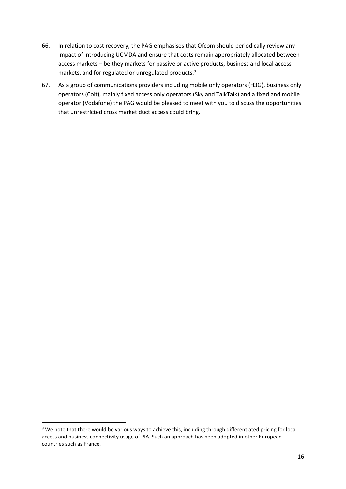- 66. In relation to cost recovery, the PAG emphasises that Ofcom should periodically review any impact of introducing UCMDA and ensure that costs remain appropriately allocated between access markets – be they markets for passive or active products, business and local access markets, and for regulated or unregulated products.<sup>9</sup>
- 67. As a group of communications providers including mobile only operators (H3G), business only operators (Colt), mainly fixed access only operators (Sky and TalkTalk) and a fixed and mobile operator (Vodafone) the PAG would be pleased to meet with you to discuss the opportunities that unrestricted cross market duct access could bring.

**.** 

<sup>&</sup>lt;sup>9</sup> We note that there would be various ways to achieve this, including through differentiated pricing for local access and business connectivity usage of PIA. Such an approach has been adopted in other European countries such as France.